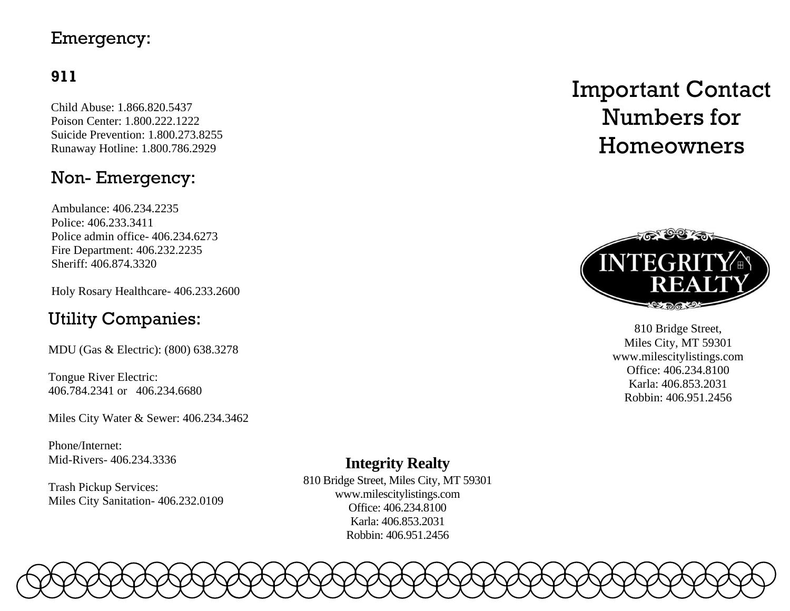# Emergency:

# **911**

Child Abuse: 1.866.820.5437 Poison Center: 1.800.222.1222 Suicide Prevention: 1.800.273.8255 Runaway Hotline: 1.800.786.2929

# Non- Emergency:

Ambulance: 406.234.2235 Police: 406.233.3411 Police admin office- 406.234.6273 Fire Department: 406.232.2235 Sheriff: 406.874.3320

Holy Rosary Healthcare- 406.233.2600

# Utility Companies:

MDU (Gas & Electric): (800) 638.3278

Tongue River Electric: 406.784.2341 or 406.234.6680

Miles City Water & Sewer: 406.234.3462

Phone/Internet: Mid-Rivers- 406.234.3336

Trash Pickup Services: Miles City Sanitation- 406.232.0109

# Important Contact Numbers for Homeowners



810 Bridge Street, Miles City, MT 59301 [www.milescitylistings.com](http://www.milescitylistings.com/) Office: 406.234.8100 Karla: 406.853.2031 Robbin: 406.951.2456

# **Integrity Realty**

810 Bridge Street, Miles City, MT 59301 [www.milescitylistings.com](http://www.milescitylistings.com/) Office: 406.234.8100 Karla: 406.853.2031 Robbin: 406.951.2456